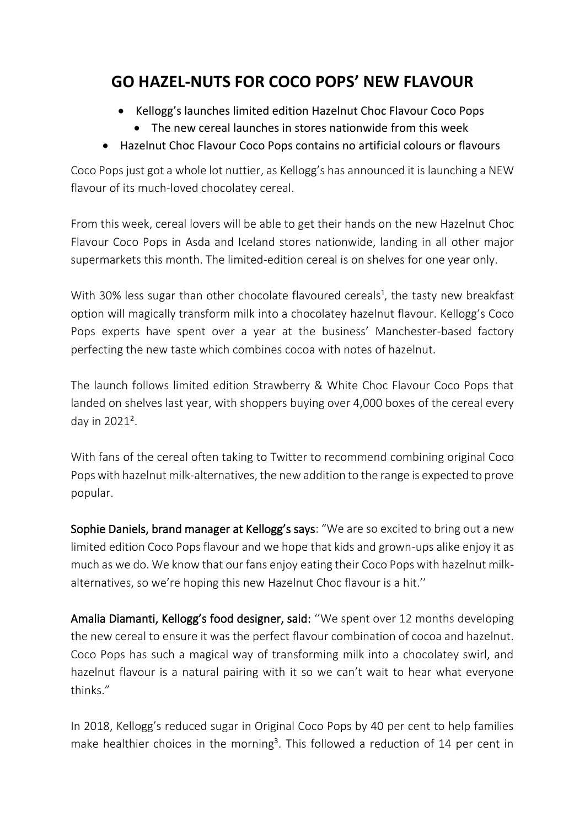## **GO HAZEL-NUTS FOR COCO POPS' NEW FLAVOUR**

- Kellogg's launches limited edition Hazelnut Choc Flavour Coco Pops
	- The new cereal launches in stores nationwide from this week
- Hazelnut Choc Flavour Coco Pops contains no artificial colours or flavours

Coco Pops just got a whole lot nuttier, as Kellogg's has announced it is launching a NEW flavour of its much-loved chocolatey cereal.

From this week, cereal lovers will be able to get their hands on the new Hazelnut Choc Flavour Coco Pops in Asda and Iceland stores nationwide, landing in all other major supermarkets this month. The limited-edition cereal is on shelves for one year only.

With 30% less sugar than other chocolate flavoured cereals<sup>1</sup>, the tasty new breakfast option will magically transform milk into a chocolatey hazelnut flavour. Kellogg's Coco Pops experts have spent over a year at the business' Manchester-based factory perfecting the new taste which combines cocoa with notes of hazelnut.

The launch follows limited edition Strawberry & White Choc Flavour Coco Pops that landed on shelves last year, with shoppers buying over 4,000 boxes of the cereal every day in 2021².

With fans of the cereal often taking to Twitter to recommend combining original Coco Pops with hazelnut milk-alternatives, the new addition to the range is expected to prove popular.

Sophie Daniels, brand manager at Kellogg's says: "We are so excited to bring out a new limited edition Coco Pops flavour and we hope that kids and grown-ups alike enjoy it as much as we do. We know that our fans enjoy eating their Coco Pops with hazelnut milkalternatives, so we're hoping this new Hazelnut Choc flavour is a hit.''

Amalia Diamanti, Kellogg's food designer, said: ''We spent over 12 months developing the new cereal to ensure it was the perfect flavour combination of cocoa and hazelnut. Coco Pops has such a magical way of transforming milk into a chocolatey swirl, and hazelnut flavour is a natural pairing with it so we can't wait to hear what everyone thinks."

In 2018, Kellogg's reduced sugar in Original Coco Pops by 40 per cent to help families make healthier choices in the morning<sup>3</sup>. This followed a reduction of 14 per cent in